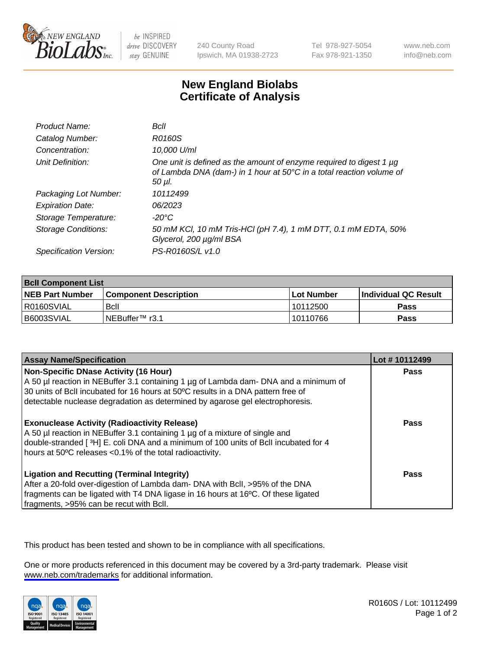

be INSPIRED drive DISCOVERY stay GENUINE

240 County Road Ipswich, MA 01938-2723 Tel 978-927-5054 Fax 978-921-1350

www.neb.com info@neb.com

## **New England Biolabs Certificate of Analysis**

| Product Name:           | Bcll                                                                                                                                                  |
|-------------------------|-------------------------------------------------------------------------------------------------------------------------------------------------------|
| Catalog Number:         | R0160S                                                                                                                                                |
| Concentration:          | 10,000 U/ml                                                                                                                                           |
| Unit Definition:        | One unit is defined as the amount of enzyme required to digest 1 µg<br>of Lambda DNA (dam-) in 1 hour at 50°C in a total reaction volume of<br>50 µl. |
| Packaging Lot Number:   | 10112499                                                                                                                                              |
| <b>Expiration Date:</b> | 06/2023                                                                                                                                               |
| Storage Temperature:    | -20°C                                                                                                                                                 |
| Storage Conditions:     | 50 mM KCl, 10 mM Tris-HCl (pH 7.4), 1 mM DTT, 0.1 mM EDTA, 50%<br>Glycerol, 200 µg/ml BSA                                                             |
| Specification Version:  | PS-R0160S/L v1.0                                                                                                                                      |

| <b>Bcll Component List</b> |                              |            |                       |  |  |
|----------------------------|------------------------------|------------|-----------------------|--|--|
| <b>NEB Part Number</b>     | <b>Component Description</b> | Lot Number | ∣Individual QC Result |  |  |
| I R0160SVIAL               | <b>B</b> cll                 | 10112500   | <b>Pass</b>           |  |  |
| B6003SVIAL                 | INEBuffer <sup>™</sup> r3.1  | 10110766   | <b>Pass</b>           |  |  |

| <b>Assay Name/Specification</b>                                                                                                                                                                                                                                                                           | Lot #10112499 |
|-----------------------------------------------------------------------------------------------------------------------------------------------------------------------------------------------------------------------------------------------------------------------------------------------------------|---------------|
| <b>Non-Specific DNase Activity (16 Hour)</b><br>A 50 µl reaction in NEBuffer 3.1 containing 1 µg of Lambda dam- DNA and a minimum of<br>30 units of BcII incubated for 16 hours at 50°C results in a DNA pattern free of<br>detectable nuclease degradation as determined by agarose gel electrophoresis. | <b>Pass</b>   |
| <b>Exonuclease Activity (Radioactivity Release)</b><br>A 50 µl reaction in NEBuffer 3.1 containing 1 µg of a mixture of single and<br>double-stranded [3H] E. coli DNA and a minimum of 100 units of Bcll incubated for 4<br>hours at 50°C releases <0.1% of the total radioactivity.                     | Pass          |
| <b>Ligation and Recutting (Terminal Integrity)</b><br>After a 20-fold over-digestion of Lambda dam- DNA with Bcll, >95% of the DNA<br>fragments can be ligated with T4 DNA ligase in 16 hours at 16°C. Of these ligated<br>fragments, >95% can be recut with Bcll.                                        | Pass          |

This product has been tested and shown to be in compliance with all specifications.

One or more products referenced in this document may be covered by a 3rd-party trademark. Please visit <www.neb.com/trademarks>for additional information.